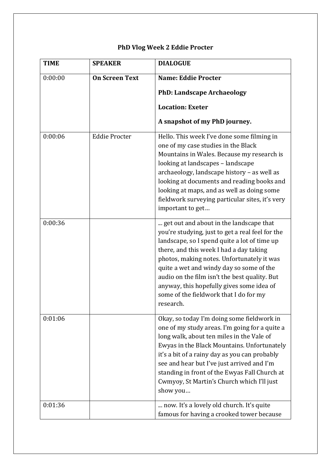## **PhD Vlog Week 2 Eddie Procter**

| <b>TIME</b> | <b>SPEAKER</b>        | <b>DIALOGUE</b>                                                                                                                                                                                                                                                                                                                                                                                                                       |
|-------------|-----------------------|---------------------------------------------------------------------------------------------------------------------------------------------------------------------------------------------------------------------------------------------------------------------------------------------------------------------------------------------------------------------------------------------------------------------------------------|
| 0:00:00     | <b>On Screen Text</b> | <b>Name: Eddie Procter</b>                                                                                                                                                                                                                                                                                                                                                                                                            |
|             |                       | <b>PhD: Landscape Archaeology</b>                                                                                                                                                                                                                                                                                                                                                                                                     |
|             |                       | <b>Location: Exeter</b>                                                                                                                                                                                                                                                                                                                                                                                                               |
|             |                       | A snapshot of my PhD journey.                                                                                                                                                                                                                                                                                                                                                                                                         |
| 0:00:06     | <b>Eddie Procter</b>  | Hello. This week I've done some filming in<br>one of my case studies in the Black<br>Mountains in Wales. Because my research is<br>looking at landscapes - landscape<br>archaeology, landscape history - as well as<br>looking at documents and reading books and<br>looking at maps, and as well as doing some<br>fieldwork surveying particular sites, it's very<br>important to get                                                |
| 0:00:36     |                       | get out and about in the landscape that<br>you're studying, just to get a real feel for the<br>landscape, so I spend quite a lot of time up<br>there, and this week I had a day taking<br>photos, making notes. Unfortunately it was<br>quite a wet and windy day so some of the<br>audio on the film isn't the best quality. But<br>anyway, this hopefully gives some idea of<br>some of the fieldwork that I do for my<br>research. |
| 0:01:06     |                       | Okay, so today I'm doing some fieldwork in<br>one of my study areas. I'm going for a quite a<br>long walk, about ten miles in the Vale of<br>Ewyas in the Black Mountains. Unfortunately<br>it's a bit of a rainy day as you can probably<br>see and hear but I've just arrived and I'm<br>standing in front of the Ewyas Fall Church at<br>Cwmyoy, St Martin's Church which I'll just<br>show you                                    |
| 0:01:36     |                       | now. It's a lovely old church. It's quite<br>famous for having a crooked tower because                                                                                                                                                                                                                                                                                                                                                |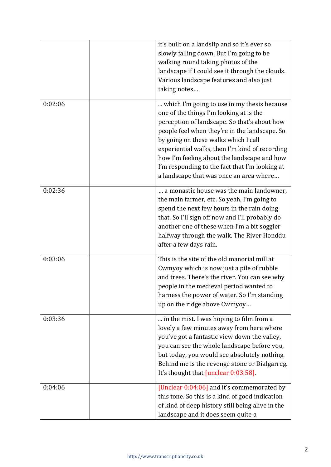|         | it's built on a landslip and so it's ever so<br>slowly falling down. But I'm going to be<br>walking round taking photos of the<br>landscape if I could see it through the clouds.<br>Various landscape features and also just<br>taking notes                                                                                                                                                                                 |
|---------|-------------------------------------------------------------------------------------------------------------------------------------------------------------------------------------------------------------------------------------------------------------------------------------------------------------------------------------------------------------------------------------------------------------------------------|
| 0:02:06 | which I'm going to use in my thesis because<br>one of the things I'm looking at is the<br>perception of landscape. So that's about how<br>people feel when they're in the landscape. So<br>by going on these walks which I call<br>experiential walks, then I'm kind of recording<br>how I'm feeling about the landscape and how<br>I'm responding to the fact that I'm looking at<br>a landscape that was once an area where |
| 0:02:36 | a monastic house was the main landowner,<br>the main farmer, etc. So yeah, I'm going to<br>spend the next few hours in the rain doing<br>that. So I'll sign off now and I'll probably do<br>another one of these when I'm a bit soggier<br>halfway through the walk. The River Honddu<br>after a few days rain.                                                                                                               |
| 0:03:06 | This is the site of the old manorial mill at<br>Cwmyoy which is now just a pile of rubble<br>and trees. There's the river. You can see why<br>people in the medieval period wanted to<br>harness the power of water. So I'm standing<br>up on the ridge above Cwmyoy                                                                                                                                                          |
| 0:03:36 | in the mist. I was hoping to film from a<br>lovely a few minutes away from here where<br>you've got a fantastic view down the valley,<br>you can see the whole landscape before you,<br>but today, you would see absolutely nothing.<br>Behind me is the revenge stone or Dialgarreg.<br>It's thought that [unclear 0:03:58].                                                                                                 |
| 0:04:06 | [Unclear 0:04:06] and it's commemorated by<br>this tone. So this is a kind of good indication<br>of kind of deep history still being alive in the<br>landscape and it does seem quite a                                                                                                                                                                                                                                       |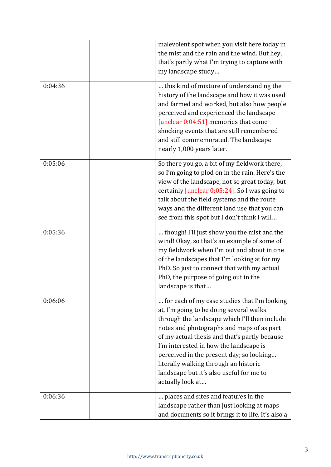|         | malevolent spot when you visit here today in<br>the mist and the rain and the wind. But hey,<br>that's partly what I'm trying to capture with<br>my landscape study                                                                                                                                                                                                                                                                   |
|---------|---------------------------------------------------------------------------------------------------------------------------------------------------------------------------------------------------------------------------------------------------------------------------------------------------------------------------------------------------------------------------------------------------------------------------------------|
| 0:04:36 | this kind of mixture of understanding the<br>history of the landscape and how it was used<br>and farmed and worked, but also how people<br>perceived and experienced the landscape<br>[unclear 0:04:51] memories that come<br>shocking events that are still remembered<br>and still commemorated. The landscape<br>nearly 1,000 years later.                                                                                         |
| 0:05:06 | So there you go, a bit of my fieldwork there,<br>so I'm going to plod on in the rain. Here's the<br>view of the landscape, not so great today, but<br>certainly [unclear 0:05:24]. So I was going to<br>talk about the field systems and the route<br>ways and the different land use that you can<br>see from this spot but I don't think I will                                                                                     |
| 0:05:36 | though! I'll just show you the mist and the<br>wind! Okay, so that's an example of some of<br>my fieldwork when I'm out and about in one<br>of the landscapes that I'm looking at for my<br>PhD. So just to connect that with my actual<br>PhD, the purpose of going out in the<br>landscape is that                                                                                                                                  |
| 0:06:06 | for each of my case studies that I'm looking<br>at, I'm going to be doing several walks<br>through the landscape which I'll then include<br>notes and photographs and maps of as part<br>of my actual thesis and that's partly because<br>I'm interested in how the landscape is<br>perceived in the present day; so looking<br>literally walking through an historic<br>landscape but it's also useful for me to<br>actually look at |
| 0:06:36 | places and sites and features in the<br>landscape rather than just looking at maps<br>and documents so it brings it to life. It's also a                                                                                                                                                                                                                                                                                              |